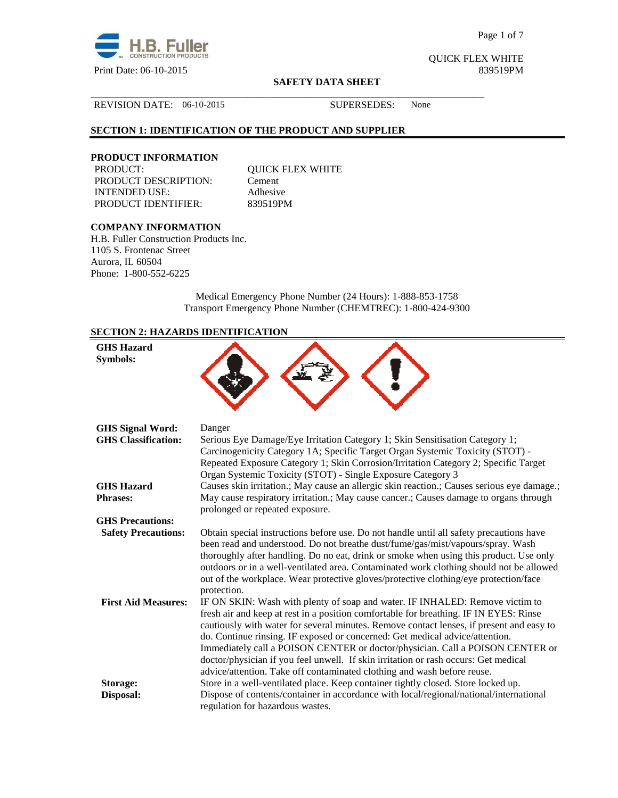

Page 1 of 7

QUICK FLEX WHITE

#### **SAFETY DATA SHEET**

#### REVISION DATE: 06-10-2015 SUPERSEDES: None

## **SECTION 1: IDENTIFICATION OF THE PRODUCT AND SUPPLIER**

# **PRODUCT INFORMATION**

PRODUCT DESCRIPTION: Cement INTENDED USE: Adhesive PRODUCT IDENTIFIER: 839519PM

QUICK FLEX WHITE

\_\_\_\_\_\_\_\_\_\_\_\_\_\_\_\_\_\_\_\_\_\_\_\_\_\_\_\_\_\_\_\_\_\_\_\_\_\_\_\_\_\_\_\_\_\_\_\_\_\_\_\_\_\_\_\_\_\_\_\_\_\_\_\_\_\_\_\_\_\_\_\_\_\_\_\_\_\_

## **COMPANY INFORMATION**

H.B. Fuller Construction Products Inc. 1105 S. Frontenac Street Aurora, IL 60504 Phone: 1-800-552-6225

> Medical Emergency Phone Number (24 Hours): 1-888-853-1758 Transport Emergency Phone Number (CHEMTREC): 1-800-424-9300

## **SECTION 2: HAZARDS IDENTIFICATION**

| <b>GHS Hazard</b><br><b>Symbols:</b> |                                                                                                                                                                                                                                                                                                                                                                                                                                                                                                                                                                                                      |
|--------------------------------------|------------------------------------------------------------------------------------------------------------------------------------------------------------------------------------------------------------------------------------------------------------------------------------------------------------------------------------------------------------------------------------------------------------------------------------------------------------------------------------------------------------------------------------------------------------------------------------------------------|
| <b>GHS Signal Word:</b>              | Danger                                                                                                                                                                                                                                                                                                                                                                                                                                                                                                                                                                                               |
| <b>GHS Classification:</b>           | Serious Eye Damage/Eye Irritation Category 1; Skin Sensitisation Category 1;<br>Carcinogenicity Category 1A; Specific Target Organ Systemic Toxicity (STOT) -<br>Repeated Exposure Category 1; Skin Corrosion/Irritation Category 2; Specific Target                                                                                                                                                                                                                                                                                                                                                 |
| <b>GHS Hazard</b><br><b>Phrases:</b> | Organ Systemic Toxicity (STOT) - Single Exposure Category 3<br>Causes skin irritation.; May cause an allergic skin reaction.; Causes serious eye damage.;<br>May cause respiratory irritation.; May cause cancer.; Causes damage to organs through<br>prolonged or repeated exposure.                                                                                                                                                                                                                                                                                                                |
| <b>GHS Precautions:</b>              |                                                                                                                                                                                                                                                                                                                                                                                                                                                                                                                                                                                                      |
| <b>Safety Precautions:</b>           | Obtain special instructions before use. Do not handle until all safety precautions have<br>been read and understood. Do not breathe dust/fume/gas/mist/vapours/spray. Wash<br>thoroughly after handling. Do no eat, drink or smoke when using this product. Use only<br>outdoors or in a well-ventilated area. Contaminated work clothing should not be allowed<br>out of the workplace. Wear protective gloves/protective clothing/eye protection/face<br>protection.                                                                                                                               |
| <b>First Aid Measures:</b>           | IF ON SKIN: Wash with plenty of soap and water. IF INHALED: Remove victim to<br>fresh air and keep at rest in a position comfortable for breathing. IF IN EYES: Rinse<br>cautiously with water for several minutes. Remove contact lenses, if present and easy to<br>do. Continue rinsing. IF exposed or concerned: Get medical advice/attention.<br>Immediately call a POISON CENTER or doctor/physician. Call a POISON CENTER or<br>doctor/physician if you feel unwell. If skin irritation or rash occurs: Get medical<br>advice/attention. Take off contaminated clothing and wash before reuse. |
| Storage:                             | Store in a well-ventilated place. Keep container tightly closed. Store locked up.                                                                                                                                                                                                                                                                                                                                                                                                                                                                                                                    |
| Disposal:                            | Dispose of contents/container in accordance with local/regional/national/international<br>regulation for hazardous wastes.                                                                                                                                                                                                                                                                                                                                                                                                                                                                           |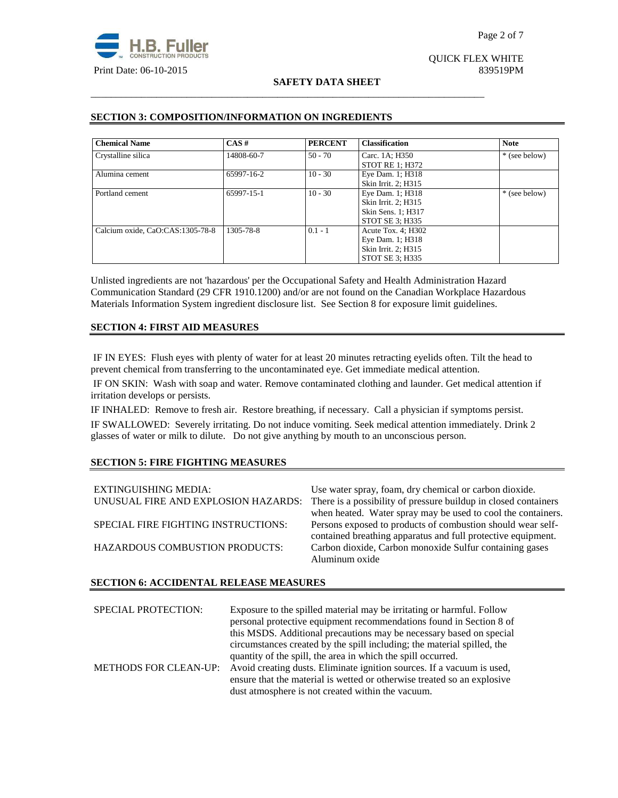

# QUICK FLEX WHITE

## **SAFETY DATA SHEET**

\_\_\_\_\_\_\_\_\_\_\_\_\_\_\_\_\_\_\_\_\_\_\_\_\_\_\_\_\_\_\_\_\_\_\_\_\_\_\_\_\_\_\_\_\_\_\_\_\_\_\_\_\_\_\_\_\_\_\_\_\_\_\_\_\_\_\_\_\_\_\_\_\_\_\_\_\_\_

## **SECTION 3: COMPOSITION/INFORMATION ON INGREDIENTS**

| <b>Chemical Name</b>             | $CAS \#$   | <b>PERCENT</b> | <b>Classification</b>  | <b>Note</b>   |
|----------------------------------|------------|----------------|------------------------|---------------|
| Crystalline silica               | 14808-60-7 | $50 - 70$      | Carc. 1A; H350         | * (see below) |
|                                  |            |                | <b>STOT RE 1: H372</b> |               |
| Alumina cement                   | 65997-16-2 | $10 - 30$      | Eye Dam. 1; H318       |               |
|                                  |            |                | Skin Irrit. 2; H315    |               |
| Portland cement                  | 65997-15-1 | $10 - 30$      | Eye Dam. 1; H318       | * (see below) |
|                                  |            |                | Skin Irrit. 2; H315    |               |
|                                  |            |                | Skin Sens. 1; H317     |               |
|                                  |            |                | STOT SE 3; H335        |               |
| Calcium oxide, CaO:CAS:1305-78-8 | 1305-78-8  | $0.1 - 1$      | Acute Tox. 4; H302     |               |
|                                  |            |                | Eye Dam. 1; H318       |               |
|                                  |            |                | Skin Irrit. 2; H315    |               |
|                                  |            |                | STOT SE 3: H335        |               |

Unlisted ingredients are not 'hazardous' per the Occupational Safety and Health Administration Hazard Communication Standard (29 CFR 1910.1200) and/or are not found on the Canadian Workplace Hazardous Materials Information System ingredient disclosure list. See Section 8 for exposure limit guidelines.

## **SECTION 4: FIRST AID MEASURES**

 IF IN EYES: Flush eyes with plenty of water for at least 20 minutes retracting eyelids often. Tilt the head to prevent chemical from transferring to the uncontaminated eye. Get immediate medical attention.

 IF ON SKIN: Wash with soap and water. Remove contaminated clothing and launder. Get medical attention if irritation develops or persists.

IF INHALED: Remove to fresh air. Restore breathing, if necessary. Call a physician if symptoms persist. IF SWALLOWED:Severely irritating. Do not induce vomiting. Seek medical attention immediately. Drink 2 glasses of water or milk to dilute. Do not give anything by mouth to an unconscious person.

## **SECTION 5: FIRE FIGHTING MEASURES**

| EXTINGUISHING MEDIA:<br>UNUSUAL FIRE AND EXPLOSION HAZARDS: | Use water spray, foam, dry chemical or carbon dioxide.<br>There is a possibility of pressure buildup in closed containers |
|-------------------------------------------------------------|---------------------------------------------------------------------------------------------------------------------------|
|                                                             | when heated. Water spray may be used to cool the containers.                                                              |
| SPECIAL FIRE FIGHTING INSTRUCTIONS:                         | Persons exposed to products of combustion should wear self-                                                               |
|                                                             | contained breathing apparatus and full protective equipment.                                                              |
| <b>HAZARDOUS COMBUSTION PRODUCTS:</b>                       | Carbon dioxide, Carbon monoxide Sulfur containing gases                                                                   |
|                                                             | Aluminum oxide                                                                                                            |

## **SECTION 6: ACCIDENTAL RELEASE MEASURES**

SPECIAL PROTECTION: Exposure to the spilled material may be irritating or harmful. Follow personal protective equipment recommendations found in Section 8 of this MSDS. Additional precautions may be necessary based on special circumstances created by the spill including; the material spilled, the quantity of the spill, the area in which the spill occurred. METHODS FOR CLEAN-UP: Avoid creating dusts. Eliminate ignition sources. If a vacuum is used, ensure that the material is wetted or otherwise treated so an explosive dust atmosphere is not created within the vacuum.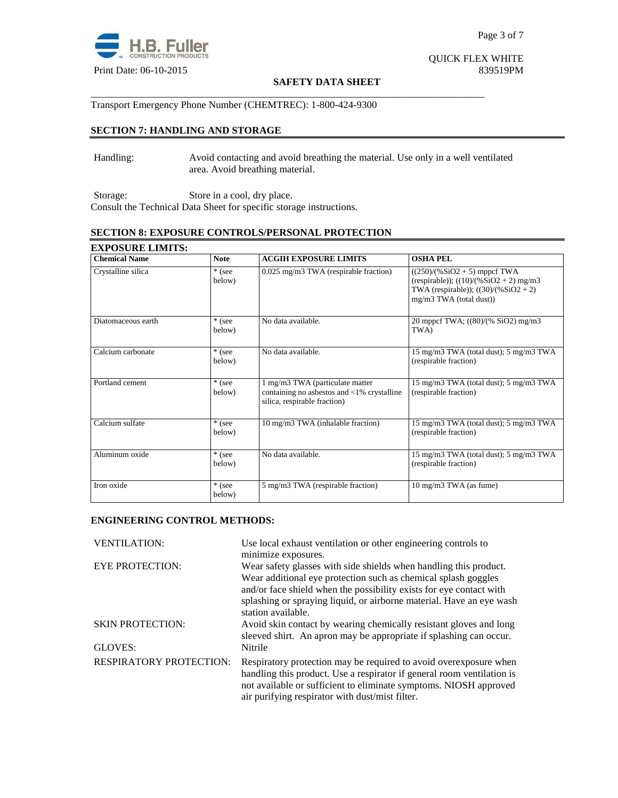

QUICK FLEX WHITE

#### **SAFETY DATA SHEET**

Transport Emergency Phone Number (CHEMTREC): 1-800-424-9300

## **SECTION 7: HANDLING AND STORAGE**

Handling: Avoid contacting and avoid breathing the material. Use only in a well ventilated area. Avoid breathing material.

\_\_\_\_\_\_\_\_\_\_\_\_\_\_\_\_\_\_\_\_\_\_\_\_\_\_\_\_\_\_\_\_\_\_\_\_\_\_\_\_\_\_\_\_\_\_\_\_\_\_\_\_\_\_\_\_\_\_\_\_\_\_\_\_\_\_\_\_\_\_\_\_\_\_\_\_\_\_

Storage: Store in a cool, dry place. Consult the Technical Data Sheet for specific storage instructions.

## **SECTION 8: EXPOSURE CONTROLS/PERSONAL PROTECTION**

| <b>Chemical Name</b> | <b>Note</b>        | <b>ACGIH EXPOSURE LIMITS</b>                                                                                            | <b>OSHA PEL</b>                                                                                                                                  |
|----------------------|--------------------|-------------------------------------------------------------------------------------------------------------------------|--------------------------------------------------------------------------------------------------------------------------------------------------|
| Crystalline silica   | * (see<br>below)   | 0.025 mg/m3 TWA (respirable fraction)                                                                                   | $((250)/(%SiO2 + 5)$ mppcf TWA<br>(respirable)); $((10)/(%SiO2 + 2)$ mg/m3<br>TWA (respirable)); $((30)/(%SiO2 + 2))$<br>mg/m3 TWA (total dust)) |
| Diatomaceous earth   | * (see<br>below)   | No data available.                                                                                                      | 20 mppcf TWA; ((80)/(% SiO2) mg/m3<br>TWA)                                                                                                       |
| Calcium carbonate    | * (see<br>below)   | No data available.                                                                                                      | 15 mg/m3 TWA (total dust); 5 mg/m3 TWA<br>(respirable fraction)                                                                                  |
| Portland cement      | * (see<br>below)   | 1 mg/m3 TWA (particulate matter<br>containing no asbestos and $\langle 1\%$ crystalline<br>silica, respirable fraction) | 15 mg/m3 TWA (total dust); 5 mg/m3 TWA<br>(respirable fraction)                                                                                  |
| Calcium sulfate      | $*$ (see<br>below) | 10 mg/m3 TWA (inhalable fraction)                                                                                       | 15 mg/m3 TWA (total dust); 5 mg/m3 TWA<br>(respirable fraction)                                                                                  |
| Aluminum oxide       | * (see<br>below)   | No data available.                                                                                                      | 15 mg/m3 TWA (total dust); 5 mg/m3 TWA<br>(respirable fraction)                                                                                  |
| Iron oxide           | * (see<br>below)   | 5 mg/m3 TWA (respirable fraction)                                                                                       | 10 mg/m3 TWA (as fume)                                                                                                                           |

## **ENGINEERING CONTROL METHODS:**

| <b>VENTILATION:</b>            | Use local exhaust ventilation or other engineering controls to<br>minimize exposures.                                                                                                                                                                                                                    |
|--------------------------------|----------------------------------------------------------------------------------------------------------------------------------------------------------------------------------------------------------------------------------------------------------------------------------------------------------|
| <b>EYE PROTECTION:</b>         | Wear safety glasses with side shields when handling this product.<br>Wear additional eye protection such as chemical splash goggles<br>and/or face shield when the possibility exists for eye contact with<br>splashing or spraying liquid, or airborne material. Have an eye wash<br>station available. |
| <b>SKIN PROTECTION:</b>        | Avoid skin contact by wearing chemically resistant gloves and long<br>sleeved shirt. An apron may be appropriate if splashing can occur.                                                                                                                                                                 |
| GLOVES:                        | Nitrile                                                                                                                                                                                                                                                                                                  |
| <b>RESPIRATORY PROTECTION:</b> | Respiratory protection may be required to avoid overexposure when<br>handling this product. Use a respirator if general room ventilation is<br>not available or sufficient to eliminate symptoms. NIOSH approved<br>air purifying respirator with dust/mist filter.                                      |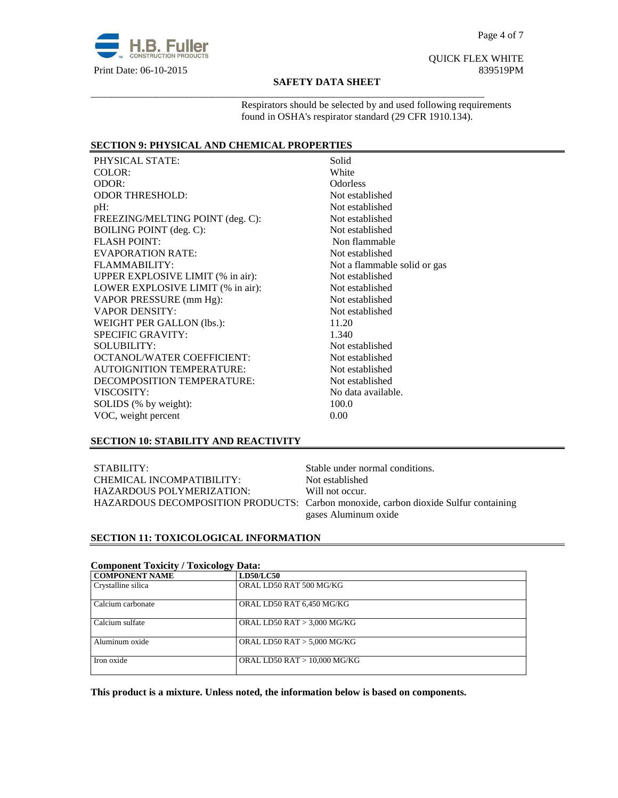

# QUICK FLEX WHITE

#### **SAFETY DATA SHEET**

\_\_\_\_\_\_\_\_\_\_\_\_\_\_\_\_\_\_\_\_\_\_\_\_\_\_\_\_\_\_\_\_\_\_\_\_\_\_\_\_\_\_\_\_\_\_\_\_\_\_\_\_\_\_\_\_\_\_\_\_\_\_\_\_\_\_\_\_\_\_\_\_\_\_\_\_\_\_

Respirators should be selected by and used following requirements found in OSHA's respirator standard (29 CFR 1910.134).

## **SECTION 9: PHYSICAL AND CHEMICAL PROPERTIES**

PHYSICAL STATE: Solid COLOR: White ODOR: Odorless ODOR THRESHOLD: Not established pH: Not established FREEZING/MELTING POINT (deg. C): Not established BOILING POINT (deg. C): Not established FLASH POINT: Non flammable EVAPORATION RATE: Not established FLAMMABILITY: Not a flammable solid or gas UPPER EXPLOSIVE LIMIT (% in air): Not established LOWER EXPLOSIVE LIMIT (% in air): Not established VAPOR PRESSURE (mm Hg): Not established VAPOR DENSITY: Not established WEIGHT PER GALLON (lbs.): 11.20 SPECIFIC GRAVITY: 1.340 SOLUBILITY: Notestablished OCTANOL/WATER COEFFICIENT: Not established AUTOIGNITION TEMPERATURE: Not established DECOMPOSITION TEMPERATURE: Not established VISCOSITY: No data available. SOLIDS (% by weight): 100.0 VOC, weight percent 0.00

## **SECTION 10: STABILITY AND REACTIVITY**

STABILITY: Stable under normal conditions. CHEMICAL INCOMPATIBILITY: Not established HAZARDOUS POLYMERIZATION: Will not occur.

HAZARDOUS DECOMPOSITION PRODUCTS: Carbon monoxide, carbon dioxide Sulfur containing gases Aluminum oxide

## **SECTION 11: TOXICOLOGICAL INFORMATION**

## **Component Toxicity / Toxicology Data:**

| ີອະ                |                               |
|--------------------|-------------------------------|
| COMPONENT NAME     | <b>LD50/LC50</b>              |
| Crystalline silica | ORAL LD50 RAT 500 MG/KG       |
| Calcium carbonate  | ORAL LD50 RAT 6,450 MG/KG     |
| Calcium sulfate    | ORAL LD50 RAT $> 3,000$ MG/KG |
| Aluminum oxide     | ORAL LD50 RAT $> 5,000$ MG/KG |
| Iron oxide         | ORAL LD50 RAT > 10,000 MG/KG  |

**This product is a mixture. Unless noted, the information below is based on components.**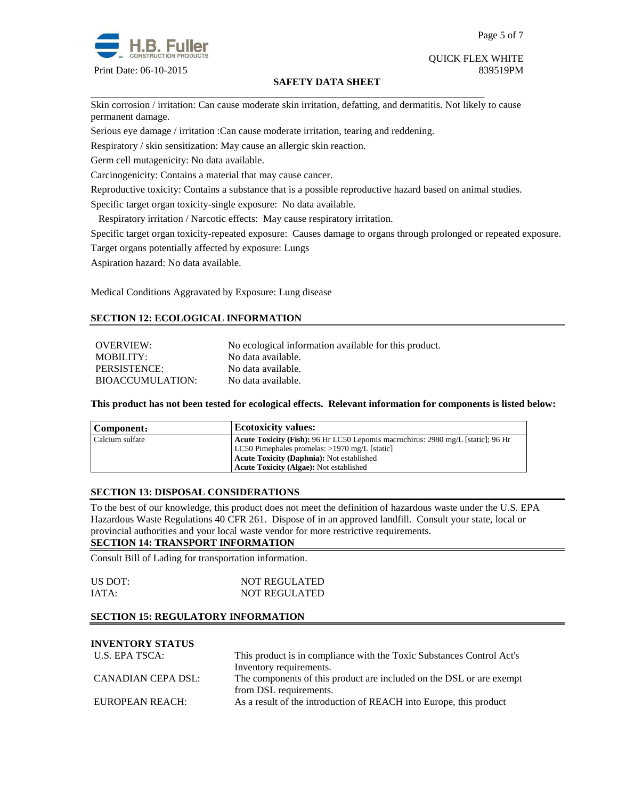

#### **SAFETY DATA SHEET**

\_\_\_\_\_\_\_\_\_\_\_\_\_\_\_\_\_\_\_\_\_\_\_\_\_\_\_\_\_\_\_\_\_\_\_\_\_\_\_\_\_\_\_\_\_\_\_\_\_\_\_\_\_\_\_\_\_\_\_\_\_\_\_\_\_\_\_\_\_\_\_\_\_\_\_\_\_\_ Skin corrosion / irritation: Can cause moderate skin irritation, defatting, and dermatitis. Not likely to cause permanent damage.

Serious eye damage / irritation :Can cause moderate irritation, tearing and reddening.

Respiratory / skin sensitization: May cause an allergic skin reaction.

Germ cell mutagenicity: No data available.

Carcinogenicity: Contains a material that may cause cancer.

Reproductive toxicity: Contains a substance that is a possible reproductive hazard based on animal studies.

Specific target organ toxicity-single exposure:No data available.

Respiratory irritation / Narcotic effects: May cause respiratory irritation.

Specific target organ toxicity-repeated exposure:Causes damage to organs through prolonged or repeated exposure.

Target organs potentially affected by exposure: Lungs

Aspiration hazard: No data available.

Medical Conditions Aggravated by Exposure: Lung disease

## **SECTION 12: ECOLOGICAL INFORMATION**

| OVERVIEW:        | No ecological information available for this product. |
|------------------|-------------------------------------------------------|
| MOBILITY:        | No data available.                                    |
| PERSISTENCE:     | No data available.                                    |
| BIOACCUMULATION: | No data available.                                    |

**This product has not been tested for ecological effects. Relevant information for components is listed below:** 

| Component:      | <b>Ecotoxicity values:</b>                                                       |  |
|-----------------|----------------------------------------------------------------------------------|--|
| Calcium sulfate | Acute Toxicity (Fish): 96 Hr LC50 Lepomis macrochirus: 2980 mg/L [static]: 96 Hr |  |
|                 | LC50 Pimephales promelas: $>1970$ mg/L [static]                                  |  |
|                 | <b>Acute Toxicity (Daphnia):</b> Not established                                 |  |
|                 | <b>Acute Toxicity (Algae):</b> Not established                                   |  |

## **SECTION 13: DISPOSAL CONSIDERATIONS**

To the best of our knowledge, this product does not meet the definition of hazardous waste under the U.S. EPA Hazardous Waste Regulations 40 CFR 261. Dispose of in an approved landfill. Consult your state, local or provincial authorities and your local waste vendor for more restrictive requirements.

## **SECTION 14: TRANSPORT INFORMATION**

Consult Bill of Lading for transportation information.

| US DOT: | <b>NOT REGULATED</b> |
|---------|----------------------|
| IATA:   | <b>NOT REGULATED</b> |

## **SECTION 15: REGULATORY INFORMATION**

**INVENTORY STATUS** 

| This product is in compliance with the Toxic Substances Control Act's |
|-----------------------------------------------------------------------|
| Inventory requirements.                                               |
| The components of this product are included on the DSL or are exempt  |
| from DSL requirements.                                                |
| As a result of the introduction of REACH into Europe, this product    |
|                                                                       |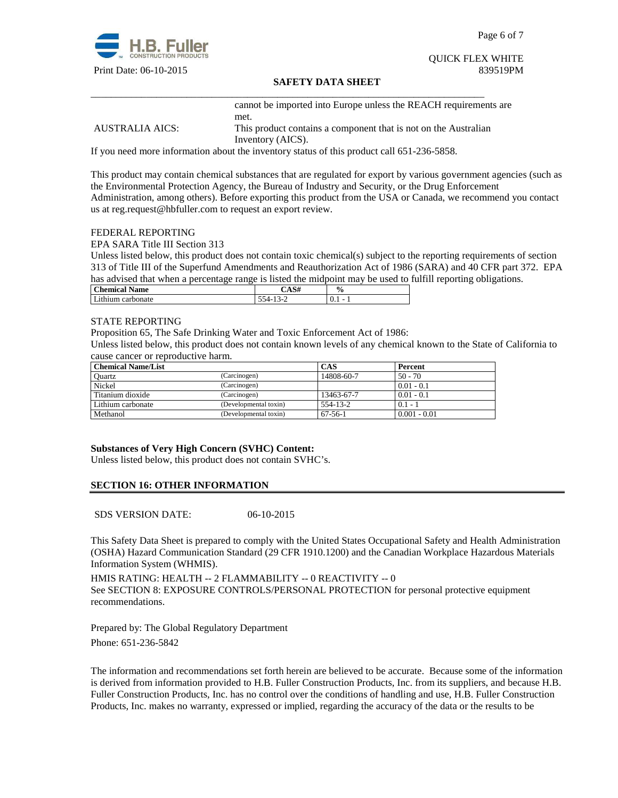

Page 6 of 7

# QUICK FLEX WHITE

## **SAFETY DATA SHEET**

cannot be imported into Europe unless the REACH requirements are met. AUSTRALIA AICS: This product contains a component that is not on the Australian Inventory (AICS).

If you need more information about the inventory status of this product call 651-236-5858.

\_\_\_\_\_\_\_\_\_\_\_\_\_\_\_\_\_\_\_\_\_\_\_\_\_\_\_\_\_\_\_\_\_\_\_\_\_\_\_\_\_\_\_\_\_\_\_\_\_\_\_\_\_\_\_\_\_\_\_\_\_\_\_\_\_\_\_\_\_\_\_\_\_\_\_\_\_\_

This product may contain chemical substances that are regulated for export by various government agencies (such as the Environmental Protection Agency, the Bureau of Industry and Security, or the Drug Enforcement Administration, among others). Before exporting this product from the USA or Canada, we recommend you contact us at reg.request@hbfuller.com to request an export review.

#### FEDERAL REPORTING

EPA SARA Title III Section 313

Unless listed below, this product does not contain toxic chemical(s) subject to the reporting requirements of section 313 of Title III of the Superfund Amendments and Reauthorization Act of 1986 (SARA) and 40 CFR part 372. EPA has advised that when a percentage range is listed the midpoint may be used to fulfill reporting obligations.

| <b>Chemical</b><br><b>Name</b> | <b>CIA</b> | $\frac{1}{2}$ |
|--------------------------------|------------|---------------|
| carbonate                      | $\sim$     |               |
| $\mathcal{L}$ thium $\cap$     | `-         | v. 1          |

## STATE REPORTING

Proposition 65, The Safe Drinking Water and Toxic Enforcement Act of 1986:

Unless listed below, this product does not contain known levels of any chemical known to the State of California to cause cancer or reproductive harm.

| <b>Chemical Name/List</b> |                       | CAS           | Percent        |
|---------------------------|-----------------------|---------------|----------------|
| <b>Ouartz</b>             | (Carcinogen)          | 14808-60-7    | $50 - 70$      |
| Nickel                    | (Carcinogen)          |               | $0.01 - 0.1$   |
| Titanium dioxide          | (Carcinogen)          | 13463-67-7    | $0.01 - 0.1$   |
| Lithium carbonate         | (Developmental toxin) | 554-13-2      | $0.1 - 1$      |
| Methanol                  | (Developmental toxin) | $67 - 56 - 1$ | $0.001 - 0.01$ |

## **Substances of Very High Concern (SVHC) Content:**

Unless listed below, this product does not contain SVHC's.

## **SECTION 16: OTHER INFORMATION**

SDS VERSION DATE: 06-10-2015

This Safety Data Sheet is prepared to comply with the United States Occupational Safety and Health Administration (OSHA) Hazard Communication Standard (29 CFR 1910.1200) and the Canadian Workplace Hazardous Materials Information System (WHMIS).

HMIS RATING: HEALTH -- 2 FLAMMABILITY -- 0 REACTIVITY -- 0 See SECTION 8: EXPOSURE CONTROLS/PERSONAL PROTECTION for personal protective equipment recommendations.

Prepared by: The Global Regulatory Department Phone: 651-236-5842

The information and recommendations set forth herein are believed to be accurate. Because some of the information is derived from information provided to H.B. Fuller Construction Products, Inc. from its suppliers, and because H.B. Fuller Construction Products, Inc. has no control over the conditions of handling and use, H.B. Fuller Construction Products, Inc. makes no warranty, expressed or implied, regarding the accuracy of the data or the results to be